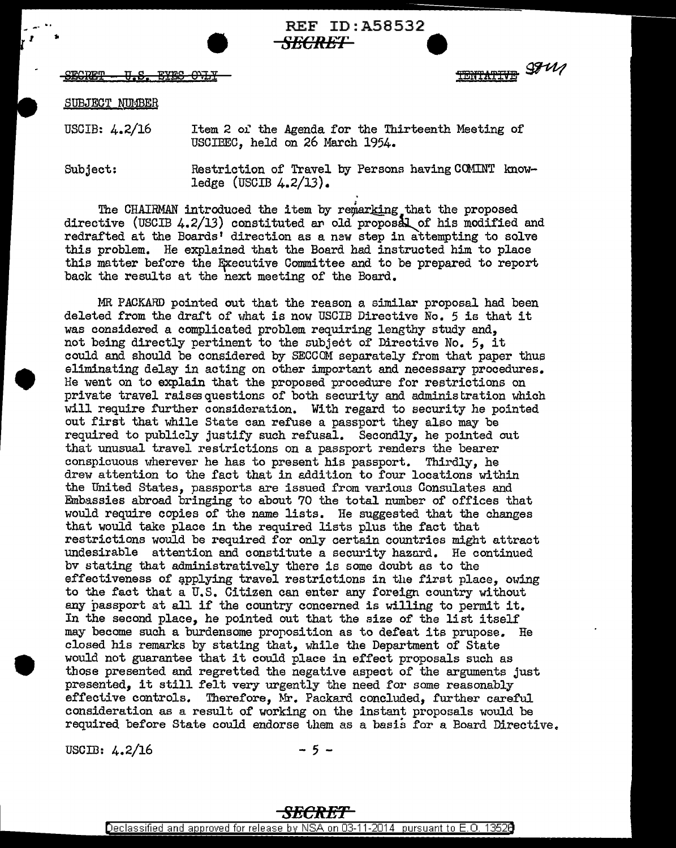REF ID:A58532 *SECRET* •



TENTATIVE SFW

## SUBJECT NUMBER

USCIB: 4.2/16 Item 2 of the Agenda for the Thirteenth Meeting of USCIBEC, held on 26 March 1954.

Subject:

•

Restriction of Travel by Persons having COMINT knowledge (USCIB 4.2/13).

The CHAIRMAN introduced the item by remarking that the proposed directive (USCIB  $4.2/13$ ) constituted an old proposal of his modified and redrafted at the Boards' direction as a new step in attempting to solve this problem, He explained that the Board had instructed him to place this matter before the Efcecutive Committee and to be prepared to report back the results at the next meeting of the Board,

MR PACKARD pointed out that the reason a similar proposal had been deleted from the draft of what is now USCIB Directive No. 5 is that it was considered a complicated problem requiring lengthy study and, not being directly pertinent to the subject of Directive No. 5, it could and should be considered by SECCOM separately from that paper thus eliminating delay in acting on other important and necessary procedures. He went on to explain that the proposed procedure for restrictions on private travel raises questions of both security and administration which will require further consideration. With regard to security he pointed out first that while State can refuse a passport they also may be required to publicly justify such refusal, Secondly, he pointed out that unusual travel restrictions on a passport renders the bearer conspicuous wherever he has to present his passport. Thirdly, he drew attention to the fact that in addition to four locations within the United States, passports are issued from various Consulates and Embassies abroad bringing to about 70 the total number of offices that would require copies of the name lists. He suggested that the changes that would take place in the required lists plus the fact that restrictions would be required for only certain countries might attract undesirable attention and constitute a security hazard. He continued bv stating that administratively there is some doubt as to the effectiveness of applying travel restrictions in the first place, owing to the fact that a U.S. Citizen can enter any foreign country without any passport at all if the country concerned is willing to permit it. In the second place, he pointed out that the size of the list itself may become such a burdensome proposition as to defeat its prupose. He closed his remarks by stating that, while the Department of State would not guarantee that it could place in effect proposals such as those presented and regretted the negative aspect of the arguments just presented, it still felt very urgently the need for some reasonably effective controls. Therefore, Mr. Packard concluded, further careful consideration as a result of working on the instant proposals would be required before State could endorse them as a basis for a Board Directive.

USCIB:  $4.2/16$  - 5 -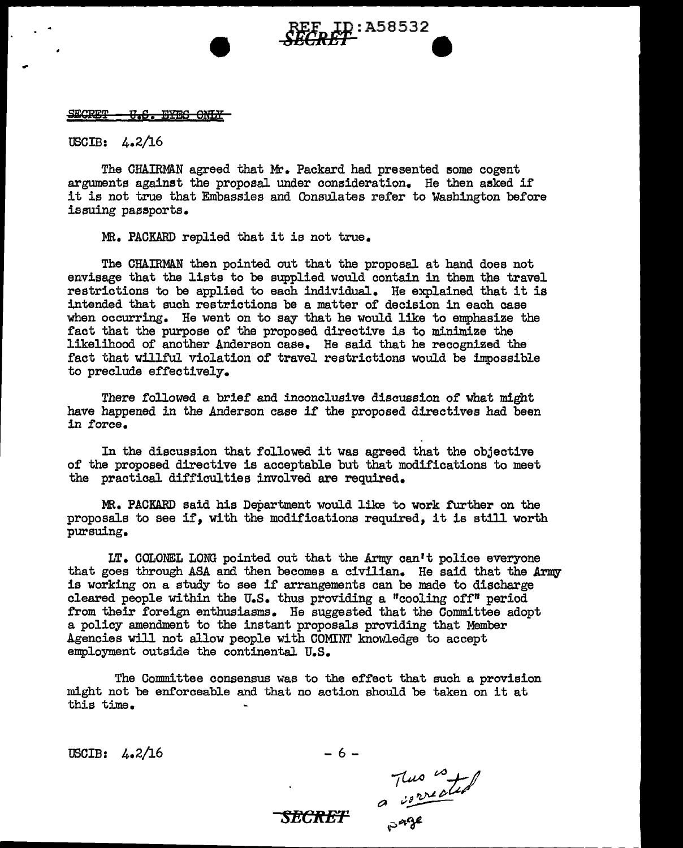## <del>U.S. BYBS ONLY</del>

USCIB: 4.2/16

The CHAIRMAN agreed that Mr. Packard had presented some cogent arguments against the proposal under consideration. He then asked if it is not true that Embassies and Consulates refer to Washington before issuing passports.

e:A58532

MR. PACKARD replied that it is not true.

The CHAIRMAN then pointed out that the proposal at hand does not envisage that the lists to be supplied would contain in them the travel restrictions to be applied to each individual. He explained that it is intended that such restrictions be a matter of decision in each case when occurring. He went on to say that he would like to emphasize the fact that the purpose of the proposed directive is to minimize the likelihood of another Anderson case. He said that he recognized the fact that willful violation of travel restrictions would be impossible to preclude effectively.

There followed a brief and inconclusive discussion of what might have happened in the Anderson case if the proposed directives had been in force.

In the discussion that followed it was agreed that the objective of the proposed directive is acceptable but that modifications to meet the practical difficulties involved are required.

MR. PACKARD said his Department would like to work further on the proposals to see if, with the modifications required, it is still worth pursuing.

 $LT.$  COLONEL LONG pointed out that the Army can't police everyone that goes through ASA and then becomes a civilian. He said that the Army is working on a study to see if arrangements can be made to discharge cleared people within the U.S. thus providing a "cooling off" period from their foreign enthusiasms. He suggested that the Committee adopt a policy amendment to the instant proposals providing that Member Agencies will not allow people with COMINT knowledge to accept employment outside the continental U.S.

The Committee consensus was to the effect that such a provision might not be enforceable and that no action should be taken on it at this time.

*SECRET* 

 $\text{USCIB:} \quad 4.2/\text{16} \qquad -6 -$ 

~ ~-:C/ •df't.-~P ~ *v:.,,..;---* ~;>~¥